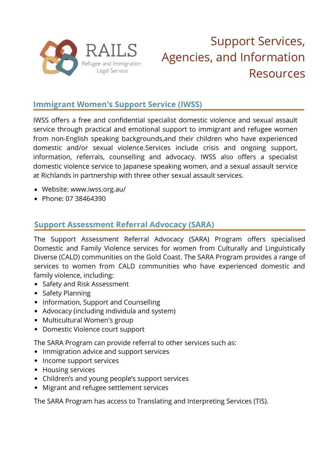

# Support Services, Agencies, and Information Resources

## **Immigrant Women's Support Service (IWSS)**

IWSS offers a free and confidential specialist domestic violence and sexual assault service through practical and emotional support to immigrant and refugee women from non-English speaking backgrounds,and their children who have experienced domestic and/or sexual violence.Services include crisis and ongoing support, information, referrals, counselling and advocacy. IWSS also offers a specialist domestic violence service to Japanese speaking women, and a sexual assault service at Richlands in partnership with three other sexual assault services.

- Website: www.iwss.org.au/
- Phone: 07 38464390

#### **Support Assessment Referral Advocacy (SARA)**

The Support Assessment Referral Advocacy (SARA) Program offers specialised Domestic and Family Violence services for women from Culturally and Linguistically Diverse (CALD) communities on the Gold Coast. The SARA Program provides a range of services to women from CALD communities who have experienced domestic and family violence, including:

- Safety and Risk Assessment
- Safety Planning
- Information, Support and Counselling
- Advocacy (including individula and system)
- Multicultural Women's group
- Domestic Violence court support

The SARA Program can provide referral to other services such as:

- Immigration advice and support services
- Income support services
- Housing services
- Children's and young people's support services
- Migrant and refugee settlement services

The SARA Program has access to Translating and Interpreting Services (TIS).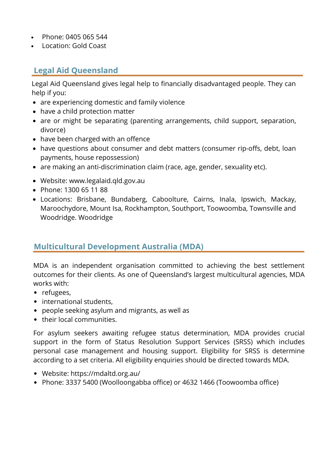- Phone: 0405 065 544
- Location: Gold Coast

## **Legal Aid Queensland**

Legal Aid Queensland gives legal help to financially disadvantaged people. They can help if you:

- are experiencing domestic and family violence
- have a child protection matter
- are or might be separating (parenting arrangements, child support, separation, divorce)
- have been charged with an offence
- have questions about consumer and debt matters (consumer rip-offs, debt, loan payments, house repossession)
- are making an anti-discrimination claim (race, age, gender, sexuality etc).
- Website: www.legalaid.qld.gov.au
- Phone: 1300 65 11 88
- Locations: Brisbane, Bundaberg, Caboolture, Cairns, Inala, Ipswich, Mackay, Maroochydore, Mount Isa, Rockhampton, Southport, Toowoomba, Townsville and Woodridge. Woodridge

#### **Multicultural Development Australia (MDA)**

MDA is an independent organisation committed to achieving the best settlement outcomes for their clients. As one of Queensland's largest multicultural agencies, MDA works with:

- refugees,
- international students,
- people seeking asylum and migrants, as well as
- their local communities.

For asylum seekers awaiting refugee status determination, MDA provides crucial support in the form of Status Resolution Support Services (SRSS) which includes personal case management and housing support. Eligibility for SRSS is determine according to a set criteria. All eligibility enquiries should be directed towards MDA.

- Website: https://mdaltd.org.au/
- Phone: 3337 5400 (Woolloongabba office) or 4632 1466 (Toowoomba office)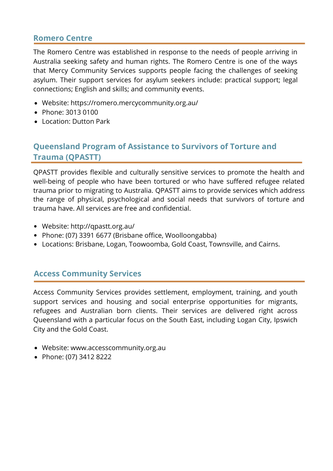#### **Romero Centre**

The Romero Centre was established in response to the needs of people arriving in Australia seeking safety and human rights. The Romero Centre is one of the ways that Mercy Community Services supports people facing the challenges of seeking asylum. Their support services for asylum seekers include: practical support; legal connections; English and skills; and community events.

- Website: https://romero.mercycommunity.org.au/
- Phone: 3013 0100
- Location: Dutton Park

# **Queensland Program of Assistance to Survivors of Torture and Trauma (QPASTT)**

QPASTT provides flexible and culturally sensitive services to promote the health and well-being of people who have been tortured or who have suffered refugee related trauma prior to migrating to Australia. QPASTT aims to provide services which address the range of physical, psychological and social needs that survivors of torture and trauma have. All services are free and confidential.

- Website: http://qpastt.org.au/
- Phone: (07) 3391 6677 (Brisbane office, Woolloongabba)
- Locations: Brisbane, Logan, Toowoomba, Gold Coast, Townsville, and Cairns.

#### **Access Community Services**

Access Community Services provides settlement, employment, training, and youth support services and housing and social enterprise opportunities for migrants, refugees and Australian born clients. Their services are delivered right across Queensland with a particular focus on the South East, including Logan City, Ipswich City and the Gold Coast.

- Website: www.accesscommunity.org.au
- Phone: (07) 3412 8222